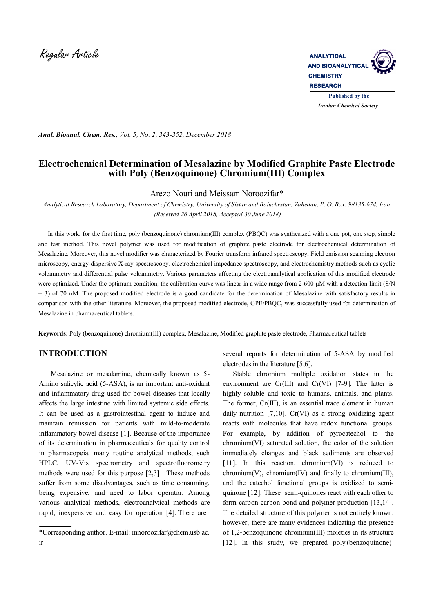

*Anal. Bioanal. Chem. Res., Vol. 5, No. 2, 343-352, December 2018.*

# **Electrochemical Determination of Mesalazine by Modified Graphite Paste Electrode with Poly (Benzoquinone) Chromium(III) Complex**

Arezo Nouri and Meissam Noroozifar\*

*Analytical Research Laboratory, Department of Chemistry, University of Sistan and Baluchestan, Zahedan, P. O. Box: 98135-674, Iran (Received 26 April 2018, Accepted 30 June 2018)*

 In this work, for the first time, poly (benzoquinone) chromium(III) complex (PBQC) was synthesized with a one pot, one step, simple and fast method. This novel polymer was used for modification of graphite paste electrode for electrochemical determination of Mesalazine. Moreover, this novel modifier was characterized by Fourier transform infrared spectroscopy, Field emission scanning electron microscopy, energy-dispersive X*-*ray spectroscopy*,* electrochemical impedance spectroscopy, and electrochemistry methods such as cyclic voltammetry and differential pulse voltammetry. Various parameters affecting the electroanalytical application of this modified electrode were optimized. Under the optimum condition, the calibration curve was linear in a wide range from 2-600 µM with a detection limit (S/N) = 3) of 70 nM. The proposed modified electrode is a good candidate for the determination of Mesalazine with satisfactory results in comparison with the other literature. Moreover, the proposed modified electrode, GPE/PBQC, was successfully used for determination of Mesalazine in pharmaceutical tablets.

**Keywords:** Poly (benzoquinone) chromium(III) complex, Mesalazine, Modified graphite paste electrode, Pharmaceutical tablets

### **INTRODUCTION**

 Mesalazine or mesalamine, chemically known as 5- Amino salicylic acid (5-ASA), is an important anti-oxidant and inflammatory drug used for bowel diseases that locally affects the large intestine with limited systemic side effects. It can be used as a gastrointestinal agent to induce and maintain remission for patients with mild-to-moderate inflammatory bowel disease [1]. Because of the importance of its determination in pharmaceuticals for quality control in pharmacopeia, many routine analytical methods, such HPLC, UV-Vis spectrometry and spectrofluorometry methods were used for this purpose [2,3] . These methods suffer from some disadvantages, such as time consuming, being expensive, and need to labor operator. Among various analytical methods, electroanalytical methods are rapid, inexpensive and easy for operation [4]. There are

several reports for determination of 5-ASA by modified electrodes in the literature [5,6].

 Stable chromium multiple oxidation states in the environment are  $Cr(III)$  and  $Cr(VI)$  [7-9]. The latter is highly soluble and toxic to humans, animals, and plants. The former, Cr(III), is an essential trace element in human daily nutrition [7,10]. Cr(VI) as a strong oxidizing agent reacts with molecules that have redox functional groups. For example, by addition of pyrocatechol to the chromium(VI) saturated solution, the color of the solution immediately changes and black sediments are observed [11]. In this reaction, chromium(VI) is reduced to chromium(V), chromium(IV) and finally to chromium(III), and the catechol functional groups is oxidized to semiquinone [12]. These semi-quinones react with each other to form carbon-carbon bond and polymer production [13,14]. The detailed structure of this polymer is not entirely known, however, there are many evidences indicating the presence of 1,2-benzoquinone chromium(III) moieties in its structure [12]. In this study, we prepared poly (benzoquinone)

<sup>\*</sup>Corresponding author. E-mail: mnoroozifar@chem.usb.ac. ir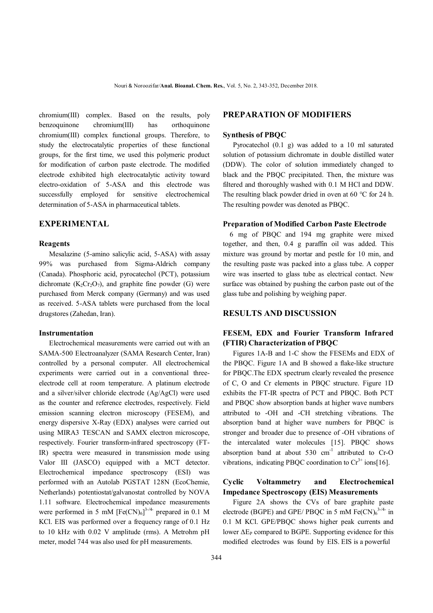chromium(III) complex. Based on the results, poly benzoquinone chromium(III) has orthoquinone chromium(III) complex functional groups. Therefore, to study the electrocatalytic properties of these functional groups, for the first time, we used this polymeric product for modification of carbon paste electrode. The modified electrode exhibited high electrocatalytic activity toward electro-oxidation of 5-ASA and this electrode was successfully employed for sensitive electrochemical determination of 5-ASA in pharmaceutical tablets.

### **EXPERIMENTAL**

#### **Reagents**

 Mesalazine (5-amino salicylic acid, 5-ASA) with assay 99% was purchased from Sigma-Aldrich company (Canada). Phosphoric acid, pyrocatechol (PCT), potassium dichromate  $(K_2Cr_2O_7)$ , and graphite fine powder (G) were purchased from Merck company (Germany) and was used as received. 5-ASA tablets were purchased from the local drugstores (Zahedan, Iran).

### **Instrumentation**

 Electrochemical measurements were carried out with an SAMA-500 Electroanalyzer (SAMA Research Center, Iran) controlled by a personal computer. All electrochemical experiments were carried out in a conventional threeelectrode cell at room temperature. A platinum electrode and a silver/silver chloride electrode (Ag/AgCl) were used as the counter and reference electrodes, respectively. Field emission scanning electron microscopy (FESEM), and energy dispersive X-Ray (EDX) analyses were carried out using MIRA3 TESCAN and SAMX electron microscope, respectively. Fourier transform-infrared spectroscopy (FT-IR) spectra were measured in transmission mode using Valor III (JASCO) equipped with a MCT detector. Electrochemical impedance spectroscopy (ESI) was performed with an Autolab PGSTAT 128N (EcoChemie, Netherlands) potentiostat/galvanostat controlled by NOVA 1.11 software. Electrochemical impedance measurements were performed in 5 mM  $[Fe(CN)_6]^{3-/4}$  prepared in 0.1 M KCl. EIS was performed over a frequency range of 0.1 Hz to 10 kHz with 0.02 V amplitude (rms). A Metrohm pH meter, model 744 was also used for pH measurements.

## **PREPARATION OF MODIFIERS**

### **Synthesis of PBQC**

 Pyrocatechol (0.1 g) was added to a 10 ml saturated solution of potassium dichromate in double distilled water (DDW). The color of solution immediately changed to black and the PBQC precipitated. Then, the mixture was filtered and thoroughly washed with 0.1 M HCl and DDW. The resulting black powder dried in oven at 60 °C for 24 h. The resulting powder was denoted as PBQC.

#### **Preparation of Modified Carbon Paste Electrode**

 6 mg of PBQC and 194 mg graphite were mixed together, and then, 0.4 g paraffin oil was added. This mixture was ground by mortar and pestle for 10 min, and the resulting paste was packed into a glass tube. A copper wire was inserted to glass tube as electrical contact. New surface was obtained by pushing the carbon paste out of the glass tube and polishing by weighing paper.

### **RESULTS AND DISCUSSION**

## **FESEM, EDX and Fourier Transform Infrared (FTIR) Characterization of PBQC**

 Figures 1A-B and 1-C show the FESEMs and EDX of the PBQC. Figure 1A and B showed a flake-like structure for PBQC.The EDX spectrum clearly revealed the presence of C, O and Cr elements in PBQC structure. Figure 1D exhibits the FT-IR spectra of PCT and PBQC. Both PCT and PBQC show absorption bands at higher wave numbers attributed to -OH and -CH stretching vibrations. The absorption band at higher wave numbers for PBQC is stronger and broader due to presence of -OH vibrations of the intercalated water molecules [15]. PBQC shows absorption band at about  $530 \text{ cm}^{-1}$  attributed to Cr-O vibrations, indicating PBOC coordination to  $Cr^{3+}$  ions[16].

## **Cyclic Voltammetry and Electrochemical Impedance Spectroscopy (EIS) Measurements**

 Figure 2A shows the CVs of bare graphite paste electrode (BGPE) and GPE/ PBQC in 5 mM  $Fe(CN)_{6}^{3-/4-}$  in 0.1 M KCl. GPE/PBQC shows higher peak currents and lower  $\Delta E_P$  compared to BGPE. Supporting evidence for this modified electrodes was found by EIS. EIS is a powerful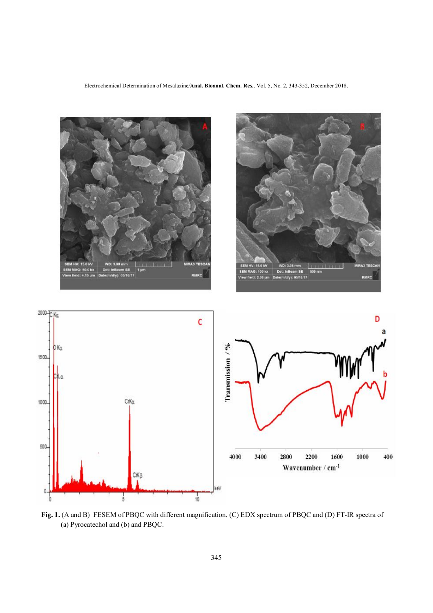Electrochemical Determination of Mesalazine*/***Anal. Bioanal. Chem. Res.**, Vol. 5, No. 2, 343-352, December 2018.



**Fig. 1.** (A and B) FESEM of PBQC with different magnification, (C) EDX spectrum of PBQC and (D) FT-IR spectra of (a) Pyrocatechol and (b) and PBQC.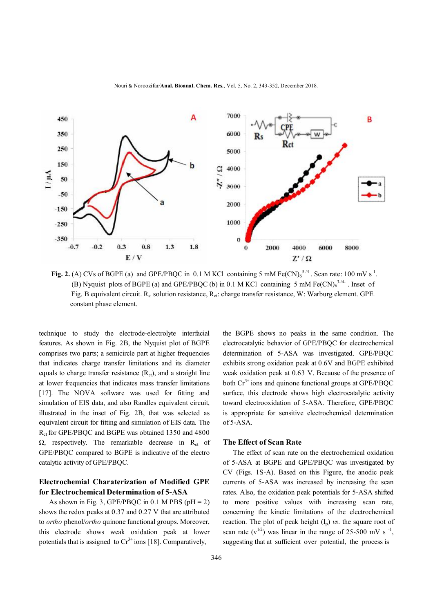



**Fig. 2.** (A) CVs of BGPE (a) and GPE/PBQC in 0.1 M KCl containing 5 mM  $Fe(CN)_6^{3-44}$ . Scan rate: 100 mV s<sup>-1</sup>. (B) Nyquist plots of BGPE (a) and GPE/PBQC (b) in 0.1 M KCl containing 5 mM  $Fe(CN)<sub>6</sub><sup>3-44</sup>$ . Inset of Fig. B equivalent circuit.  $R_s$ : solution resistance,  $R_{ct}$ : charge transfer resistance, W: Warburg element. GPE: constant phase element.

technique to study the electrode-electrolyte interfacial features. As shown in Fig. 2B, the Nyquist plot of BGPE comprises two parts; a semicircle part at higher frequencies that indicates charge transfer limitations and its diameter equals to charge transfer resistance  $(R<sub>ct</sub>)$ , and a straight line at lower frequencies that indicates mass transfer limitations [17]. The NOVA software was used for fitting and simulation of EIS data, and also Randles equivalent circuit, illustrated in the inset of Fig. 2B, that was selected as equivalent circuit for fitting and simulation of EIS data. The Rct for GPE/PBQC and BGPE was obtained 1350 and 4800  $\Omega$ , respectively. The remarkable decrease in R<sub>ct</sub> of GPE/PBQC compared to BGPE is indicative of the electro catalytic activity of GPE/PBQC.

## **Electrochemial Charaterization of Modified GPE for Electrochemical Determination of 5-ASA**

As shown in Fig. 3, GPE/PBQC in 0.1 M PBS ( $pH = 2$ ) shows the redox peaks at 0.37 and 0.27 V that are attributed to *ortho* phenol/*ortho* quinone functional groups. Moreover, this electrode shows weak oxidation peak at lower potentials that is assigned to  $Cr^{3+}$  ions [18]. Comparatively,

the BGPE shows no peaks in the same condition. The electrocatalytic behavior of GPE/PBQC for electrochemical determination of 5-ASA was investigated. GPE/PBQC exhibits strong oxidation peak at 0.6V and BGPE exhibited weak oxidation peak at 0.63 V. Because of the presence of both  $Cr^{3+}$  ions and quinone functional groups at GPE/PBQC surface, this electrode shows high electrocatalytic activity toward electrooxidation of 5-ASA. Therefore, GPE/PBOC is appropriate for sensitive electrochemical determination of 5-ASA.

#### **The Effect of Scan Rate**

 The effect of scan rate on the electrochemical oxidation of 5-ASA at BGPE and GPE/PBQC was investigated by CV (Figs. 1S-A). Based on this Figure, the anodic peak currents of 5-ASA was increased by increasing the scan rates. Also, the oxidation peak potentials for 5-ASA shifted to more positive values with increasing scan rate, concerning the kinetic limitations of the electrochemical reaction. The plot of peak height  $(I_n)$  *vs*. the square root of scan rate  $(v^{1/2})$  was linear in the range of 25-500 mV s<sup>-1</sup>, suggesting that at sufficient over potential, the process is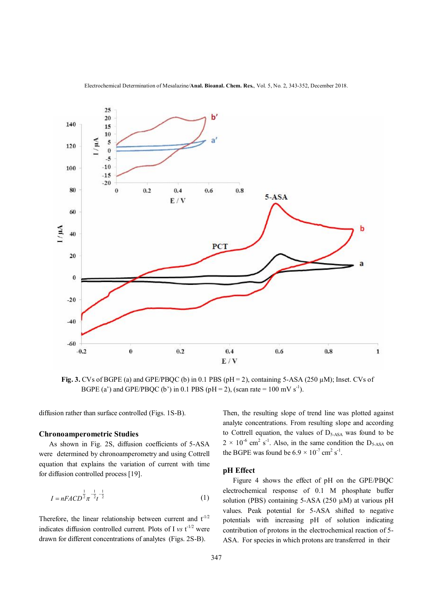



**Fig. 3.** CVs of BGPE (a) and GPE/PBQC (b) in 0.1 PBS ( $pH = 2$ ), containing 5-ASA ( $250 \mu M$ ); Inset. CVs of BGPE (a') and GPE/PBQC (b') in 0.1 PBS (pH = 2), (scan rate = 100 mV s<sup>-1</sup>).

diffusion rather than surface controlled (Figs. 1S-B).

### **Chronoamperometric Studies**

 As shown in Fig. 2S, diffusion coefficients of 5-ASA were determined by chronoamperometry and using Cottrell equation that explains the variation of current with time for diffusion controlled process [19].

$$
I = nFACD^{\frac{1}{2}}\pi^{-\frac{1}{2}}t^{-\frac{1}{2}}\tag{1}
$$

Therefore, the linear relationship between current and  $t^{-1/2}$ indicates diffusion controlled current. Plots of I  $vs$  t<sup>-1/2</sup> were drawn for different concentrations of analytes (Figs. 2S-B).

Then, the resulting slope of trend line was plotted against analyte concentrations. From resulting slope and according to Cottrell equation, the values of  $D_{5-ASA}$  was found to be  $2 \times 10^{-6}$  cm<sup>2</sup> s<sup>-1</sup>. Also, in the same condition the D<sub>5-ASA</sub> on the BGPE was found be  $6.9 \times 10^{-7}$  cm<sup>2</sup> s<sup>-1</sup>.

### **pH Effect**

 Figure 4 shows the effect of pH on the GPE/PBQC electrochemical response of 0.1 M phosphate buffer solution (PBS) containing  $5-ASA$  (250  $\mu$ M) at various pH values. Peak potential for 5-ASA shifted to negative potentials with increasing pH of solution indicating contribution of protons in the electrochemical reaction of 5- ASA. For species in which protons are transferred in their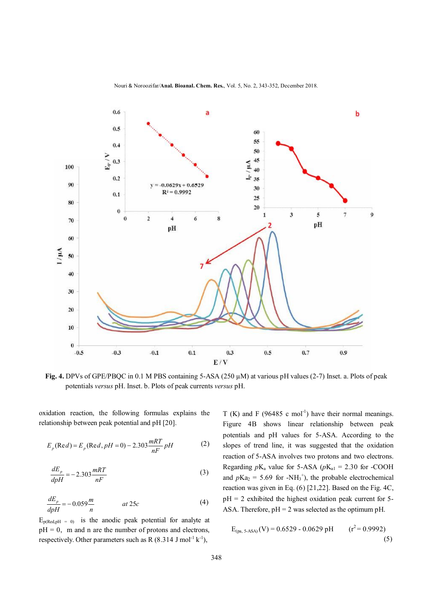



**Fig. 4.** DPVs of GPE/PBQC in 0.1 M PBS containing 5-ASA (250 µM) at various pH values (2-7) Inset. a. Plots of peak potentials *versus* pH. Inset. b. Plots of peak currents *versus* pH.

oxidation reaction, the following formulas explains the relationship between peak potential and pH [20].

$$
E_p(\text{Re} d) = E_p(\text{Re} d, pH = 0) - 2.303 \frac{mRT}{nF} pH
$$
 (2)

$$
\frac{dE_p}{dpH} = -2.303 \frac{mRT}{nF}
$$
\n(3)

$$
\frac{dE_p}{dpH} = -0.059 \frac{m}{n} \qquad at 25c \tag{4}
$$

 $E_{p(Red,pH = 0)}$  is the anodic peak potential for analyte at  $pH = 0$ , m and n are the number of protons and electrons, respectively. Other parameters such as R  $(8.314 \text{ J mol}^{-1} \text{ k}^{-1})$ ,

T (K) and F (96485 c mol<sup>-1</sup>) have their normal meanings. Figure 4B shows linear relationship between peak potentials and pH values for 5-ASA. According to the slopes of trend line, it was suggested that the oxidation reaction of 5-ASA involves two protons and two electrons. Regarding  $pK_a$  value for 5-ASA ( $pK_{a1} = 2.30$  for -COOH and  $p\text{Ka}_2 = 5.69$  for -NH<sub>3</sub><sup>+</sup>), the probable electrochemical reaction was given in Eq. (6) [21,22]. Based on the Fig. 4C,  $pH = 2$  exhibited the highest oxidation peak current for 5-ASA. Therefore,  $pH = 2$  was selected as the optimum pH.

$$
E_{(pa, 5-ASA)}(V) = 0.6529 - 0.0629 \text{ pH} \qquad (r^2 = 0.9992)
$$
\n(5)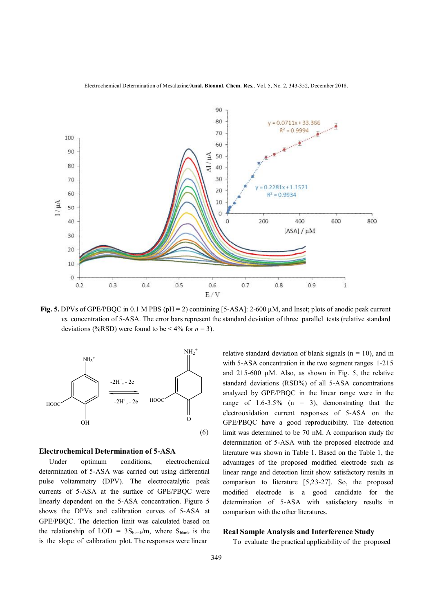



**Fig. 5.** DPVs of GPE/PBQC in 0.1 M PBS ( $pH = 2$ ) containing [5-ASA]: 2-600  $\mu$ M, and Inset; plots of anodic peak current  *vs.* concentration of 5-ASA. The error bars represent the standard deviation of three parallel tests (relative standard deviations (%RSD) were found to be  $< 4\%$  for  $n = 3$ ).



#### **Electrochemical Determination of 5-ASA**

 Under optimum conditions, electrochemical determination of 5-ASA was carried out using differential pulse voltammetry (DPV). The electrocatalytic peak currents of 5-ASA at the surface of GPE/PBQC were linearly dependent on the 5-ASA concentration. Figure 5 shows the DPVs and calibration curves of 5-ASA at GPE/PBQC. The detection limit was calculated based on the relationship of LOD =  $3S_{\text{blank}}/m$ , where  $S_{\text{blank}}$  is the is the slope of calibration plot. The responses were linear

relative standard deviation of blank signals ( $n = 10$ ), and m with 5-ASA concentration in the two segment ranges 1-215 and  $215-600 \mu M$ . Also, as shown in Fig. 5, the relative standard deviations (RSD%) of all 5-ASA concentrations analyzed by GPE/PBQC in the linear range were in the range of  $1.6 - 3.5\%$  (n = 3), demonstrating that the electrooxidation current responses of 5-ASA on the GPE/PBQC have a good reproducibility. The detection limit was determined to be 70 nM. A comparison study for determination of 5-ASA with the proposed electrode and literature was shown in Table 1. Based on the Table 1, the advantages of the proposed modified electrode such as linear range and detection limit show satisfactory results in comparison to literature [5,23-27]. So, the proposed modified electrode is a good candidate for the determination of 5-ASA with satisfactory results in comparison with the other literatures.

### **Real Sample Analysis and Interference Study**

To evaluate the practical applicability of the proposed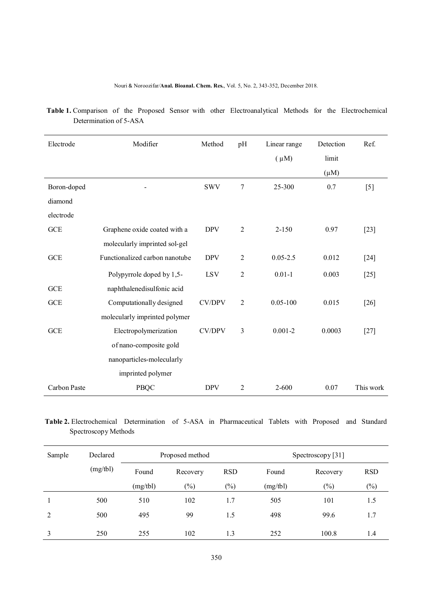### Nouri & Noroozifar*/***Anal. Bioanal. Chem. Res.**, Vol. 5, No. 2, 343-352, December 2018.

| Electrode    | Modifier                       | Method        | pH             | Linear range | Detection | Ref.      |
|--------------|--------------------------------|---------------|----------------|--------------|-----------|-----------|
|              |                                |               |                | $(\mu M)$    | limit     |           |
|              |                                |               |                |              | $(\mu M)$ |           |
| Boron-doped  |                                | <b>SWV</b>    | $\tau$         | 25-300       | 0.7       | $[5]$     |
| diamond      |                                |               |                |              |           |           |
| electrode    |                                |               |                |              |           |           |
| <b>GCE</b>   | Graphene oxide coated with a   | <b>DPV</b>    | $\overline{2}$ | $2 - 150$    | 0.97      | $[23]$    |
|              | molecularly imprinted sol-gel  |               |                |              |           |           |
| <b>GCE</b>   | Functionalized carbon nanotube | <b>DPV</b>    | $\overline{2}$ | $0.05 - 2.5$ | 0.012     | $[24]$    |
|              | Polypyrrole doped by 1,5-      | <b>LSV</b>    | $\overline{2}$ | $0.01 - 1$   | 0.003     | $[25]$    |
| <b>GCE</b>   | naphthalenedisulfonic acid     |               |                |              |           |           |
| <b>GCE</b>   | Computationally designed       | <b>CV/DPV</b> | $\overline{2}$ | $0.05 - 100$ | 0.015     | $[26]$    |
|              | molecularly imprinted polymer  |               |                |              |           |           |
| <b>GCE</b>   | Electropolymerization          | <b>CV/DPV</b> | $\overline{3}$ | $0.001 - 2$  | 0.0003    | $[27]$    |
|              | of nano-composite gold         |               |                |              |           |           |
|              | nanoparticles-molecularly      |               |                |              |           |           |
|              | imprinted polymer              |               |                |              |           |           |
| Carbon Paste | <b>PBQC</b>                    | <b>DPV</b>    | $\overline{2}$ | $2 - 600$    | 0.07      | This work |

 **Table 1.** Comparison of the Proposed Sensor with other Electroanalytical Methods for the Electrochemical Determination of 5-ASA

# **Table 2.** Electrochemical Determination of 5-ASA in Pharmaceutical Tablets with Proposed and Standard Spectroscopy Methods

| Sample | Declared | Proposed method |          |            | Spectroscopy [31] |          |            |
|--------|----------|-----------------|----------|------------|-------------------|----------|------------|
|        | (mg/tbl) | Found           | Recovery | <b>RSD</b> | Found             | Recovery | <b>RSD</b> |
|        |          | (mg/tbl)        | $(\%)$   | $(\%)$     | (mg/tb)           | $(\%)$   | $(\%)$     |
|        | 500      | 510             | 102      | 1.7        | 505               | 101      | 1.5        |
| 2      | 500      | 495             | 99       | 1.5        | 498               | 99.6     | 1.7        |
| 3      | 250      | 255             | 102      | 1.3        | 252               | 100.8    | 1.4        |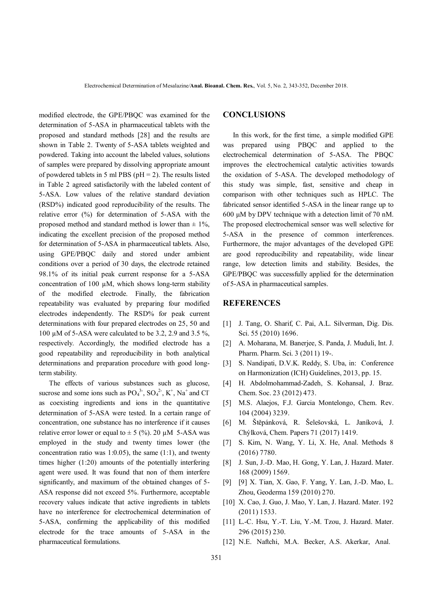modified electrode, the GPE/PBQC was examined for the determination of 5-ASA in pharmaceutical tablets with the proposed and standard methods [28] and the results are shown in Table 2. Twenty of 5-ASA tablets weighted and powdered. Taking into account the labeled values, solutions of samples were prepared by dissolving appropriate amount of powdered tablets in 5 ml PBS ( $pH = 2$ ). The results listed in Table 2 agreed satisfactorily with the labeled content of 5-ASA. Low values of the relative standard deviation (RSD%) indicated good reproducibility of the results. The relative error (%) for determination of 5-ASA with the proposed method and standard method is lower than  $\pm$  1%, indicating the excellent precision of the proposed method for determination of 5-ASA in pharmaceutical tablets. Also, using GPE/PBQC daily and stored under ambient conditions over a period of 30 days, the electrode retained 98.1% of its initial peak current response for a 5-ASA concentration of 100 µM, which shows long-term stability of the modified electrode. Finally, the fabrication repeatability was evaluated by preparing four modified electrodes independently. The RSD% for peak current determinations with four prepared electrodes on 25, 50 and 100  $\mu$ M of 5-ASA were calculated to be 3.2, 2.9 and 3.5 %, respectively. Accordingly, the modified electrode has a good repeatability and reproducibility in both analytical determinations and preparation procedure with good longterm stability.

 The effects of various substances such as glucose, sucrose and some ions such as  $PO_4^{3}$ ,  $SO_4^{2}$ ,  $K^+$ , Na<sup>+</sup> and Cl<sup>-</sup> as coexisting ingredients and ions in the quantitative determination of 5-ASA were tested. In a certain range of concentration, one substance has no interference if it causes relative error lower or equal to  $\pm$  5 (%). 20 µM 5-ASA was employed in the study and twenty times lower (the concentration ratio was  $1:0.05$ ), the same  $(1:1)$ , and twenty times higher (1:20) amounts of the potentially interfering agent were used. It was found that non of them interfere significantly, and maximum of the obtained changes of 5- ASA response did not exceed 5%. Furthermore, acceptable recovery values indicate that active ingredients in tablets have no interference for electrochemical determination of 5-ASA, confirming the applicability of this modified electrode for the trace amounts of 5-ASA in the pharmaceutical formulations.

## **CONCLUSIONS**

 In this work, for the first time, a simple modified GPE was prepared using PBQC and applied to the electrochemical determination of 5-ASA. The PBQC improves the electrochemical catalytic activities towards the oxidation of 5-ASA. The developed methodology of this study was simple, fast, sensitive and cheap in comparison with other techniques such as HPLC. The fabricated sensor identified 5-ASA in the linear range up to 600 μM by DPV technique with a detection limit of 70 nM. The proposed electrochemical sensor was well selective for 5-ASA in the presence of common interferences. Furthermore, the major advantages of the developed GPE are good reproducibility and repeatability, wide linear range, low detection limits and stability. Besides, the GPE/PBQC was successfully applied for the determination of 5-ASA in pharmaceutical samples.

### **REFERENCES**

- [1] J. Tang, O. Sharif, C. Pai, A.L. Silverman, Dig. Dis. Sci. 55 (2010) 1696.
- [2] A. Moharana, M. Banerjee, S. Panda, J. Muduli, Int. J. Pharm. Pharm. Sci. 3 (2011) 19-.
- [3] S. Nandipati, D.V.K. Reddy, S. Uba, in: Conference on Harmonization (ICH) Guidelines, 2013, pp. 15.
- [4] H. Abdolmohammad-Zadeh, S. Kohansal, J. Braz. Chem. Soc. 23 (2012) 473.
- [5] M.S. Alaejos, F.J. Garcia Montelongo, Chem. Rev. 104 (2004) 3239.
- [6] M. Štěpánková, R. Šelešovská, L. Janíková, J. Chýlková, Chem. Papers 71 (2017) 1419.
- [7] S. Kim, N. Wang, Y. Li, X. He, Anal. Methods 8 (2016) 7780.
- [8] J. Sun, J.-D. Mao, H. Gong, Y. Lan, J. Hazard. Mater. 168 (2009) 1569.
- [9] [9] X. Tian, X. Gao, F. Yang, Y. Lan, J.-D. Mao, L. Zhou, Geoderma 159 (2010) 270.
- [10] X. Cao, J. Guo, J. Mao, Y. Lan, J. Hazard. Mater. 192 (2011) 1533.
- [11] L.-C. Hsu, Y.-T. Liu, Y.-M. Tzou, J. Hazard. Mater. 296 (2015) 230.
- [12] N.E. Naftchi, M.A. Becker, A.S. Akerkar, Anal.